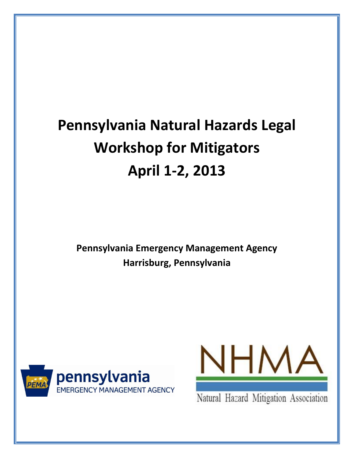# **Pennsylvania Natural Hazards Legal Workshop for Mitigators April 1-2, 2013**

**Pennsylvania Emergency Management Agency Harrisburg, Pennsylvania**





Natural Hazard Mitigation Association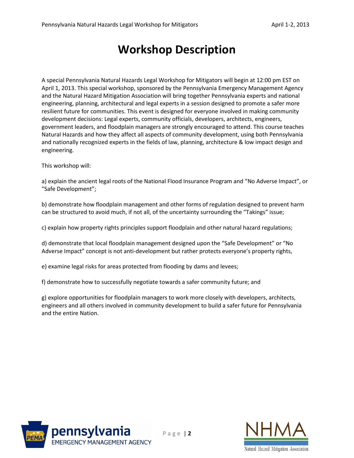## **Workshop Description**

A special Pennsylvania Natural Hazards Legal Workshop for Mitigators will begin at 12:00 pm EST on April 1, 2013. This special workshop, sponsored by the Pennsylvania Emergency Management Agency and the Natural Hazard Mitigation Association will bring together Pennsylvania experts and national engineering, planning, architectural and legal experts in a session designed to promote a safer more resilient future for communities. This event is designed for everyone involved in making community development decisions: Legal experts, community officials, developers, architects, engineers, government leaders, and floodplain managers are strongly encouraged to attend. This course teaches Natural Hazards and how they affect all aspects of community development, using both Pennsylvania and nationally recognized experts in the fields of law, planning, architecture & low impact design and engineering.

This workshop will:

a) explain the ancient legal roots of the National Flood Insurance Program and "No Adverse Impact", or "Safe Development";

b) demonstrate how floodplain management and other forms of regulation designed to prevent harm can be structured to avoid much, if not all, of the uncertainty surrounding the "Takings" issue;

c) explain how property rights principles support floodplain and other natural hazard regulations;

d) demonstrate that local floodplain management designed upon the "Safe Development" or "No Adverse Impact" concept is not anti-development but rather protects everyone's property rights,

e) examine legal risks for areas protected from flooding by dams and levees;

f) demonstrate how to successfully negotiate towards a safer community future; and

g) explore opportunities for floodplain managers to work more closely with developers, architects, engineers and all others involved in community development to build a safer future for Pennsylvania and the entire Nation.

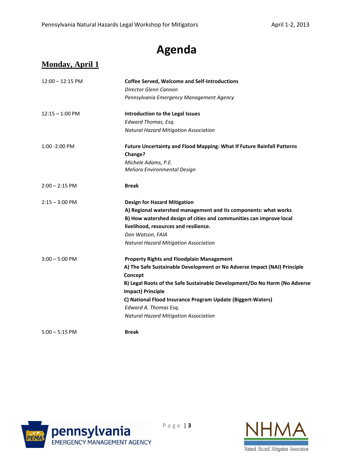# **Agenda**

### **Monday, April 1**

| $12:00 - 12:15$ PM        | <b>Coffee Served, Welcome and Self-Introductions</b>                      |
|---------------------------|---------------------------------------------------------------------------|
|                           | Director Glenn Cannon                                                     |
|                           | Pennsylvania Emergency Management Agency                                  |
| $12:15 - 1:00 \text{ PM}$ | Introduction to the Legal Issues                                          |
|                           | Edward Thomas, Esq.                                                       |
|                           | <b>Natural Hazard Mitigation Association</b>                              |
| 1:00 - 2:00 PM            | Future Uncertainty and Flood Mapping: What If Future Rainfall Patterns    |
|                           | Change?                                                                   |
|                           | Michele Adams, P.E.                                                       |
|                           | Meliora Environmental Design                                              |
| $2:00 - 2:15$ PM          | <b>Break</b>                                                              |
| $2:15 - 3:00$ PM          | <b>Design for Hazard Mitigation</b>                                       |
|                           | A) Regional watershed management and its components: what works           |
|                           | B) How watershed design of cities and communities can improve local       |
|                           | livelihood, resources and resilience.                                     |
|                           | Don Watson, FAIA                                                          |
|                           | <b>Natural Hazard Mitigation Association</b>                              |
| $3:00 - 5:00$ PM          | <b>Property Rights and Floodplain Management</b>                          |
|                           | A) The Safe Sustainable Development or No Adverse Impact (NAI) Principle  |
|                           | Concept                                                                   |
|                           | B) Legal Roots of the Safe Sustainable Development/Do No Harm (No Adverse |
|                           | <b>Impact) Principle</b>                                                  |
|                           | C) National Flood Insurance Program Update (Biggert-Waters)               |
|                           | Edward A. Thomas Esq.                                                     |
|                           | <b>Natural Hazard Mitigation Association</b>                              |
| $5:00 - 5:15$ PM          | <b>Break</b>                                                              |



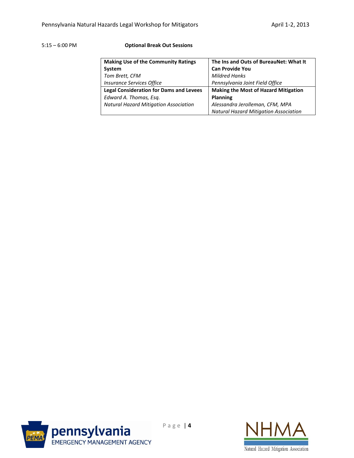#### 5:15 – 6:00 PM **Optional Break Out Sessions**

| <b>Making Use of the Community Ratings</b>     | The Ins and Outs of BureauNet: What It       |
|------------------------------------------------|----------------------------------------------|
| System                                         | <b>Can Provide You</b>                       |
| Tom Brett, CFM                                 | <b>Mildred Hanks</b>                         |
| <b>Insurance Services Office</b>               | Pennsylvania Joint Field Office              |
| <b>Legal Consideration for Dams and Levees</b> | <b>Making the Most of Hazard Mitigation</b>  |
| Edward A. Thomas, Esg.                         | <b>Planning</b>                              |
| <b>Natural Hazard Mitigation Association</b>   | Alessandra Jerolleman, CFM, MPA              |
|                                                | <b>Natural Hazard Mitigation Association</b> |



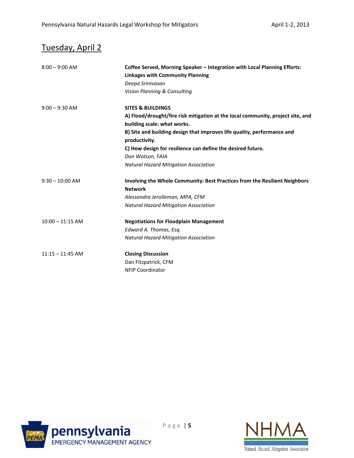### Tuesday, April 2

| $8:00 - 9:00$ AM   | Coffee Served, Morning Speaker – Integration with Local Planning Efforts:<br><b>Linkages with Community Planning</b><br>Deepa Srinivasan<br>Vision Planning & Consulting                                                                                                                                                                                                      |
|--------------------|-------------------------------------------------------------------------------------------------------------------------------------------------------------------------------------------------------------------------------------------------------------------------------------------------------------------------------------------------------------------------------|
| $9:00 - 9:30$ AM   | <b>SITES &amp; BUILDINGS</b><br>A) Flood/drought/fire risk mitigation at the local community, project site, and<br>building scale: what works.<br>B) Site and building design that improves life quality, performance and<br>productivity.<br>C) How design for resilience can define the desired future.<br>Don Watson, FAIA<br><b>Natural Hazard Mitigation Association</b> |
| $9:30 - 10:00$ AM  | Involving the Whole Community: Best Practices from the Resilient Neighbors<br><b>Network</b><br>Alessandra Jerolleman, MPA, CFM<br><b>Natural Hazard Mitigation Association</b>                                                                                                                                                                                               |
| $10:00 - 11:15$ AM | <b>Negotiations for Floodplain Management</b><br>Edward A. Thomas, Esq.<br><b>Natural Hazard Mitigation Association</b>                                                                                                                                                                                                                                                       |
| $11:15 - 11:45$ AM | <b>Closing Discussion</b><br>Dan Fitzpatrick, CFM<br><b>NFIP Coordinator</b>                                                                                                                                                                                                                                                                                                  |



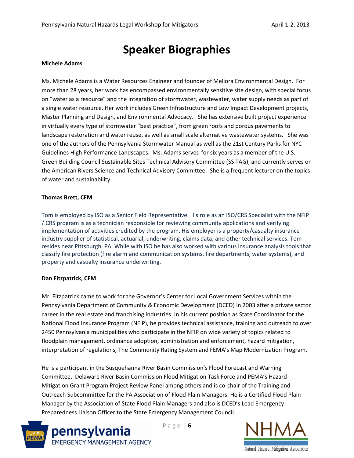### **Speaker Biographies**

#### **Michele Adams**

Ms. Michele Adams is a Water Resources Engineer and founder of Meliora Environmental Design. For more than 28 years, her work has encompassed environmentally sensitive site design, with special focus on "water as a resource" and the integration of stormwater, wastewater, water supply needs as part of a single water resource. Her work includes Green Infrastructure and Low Impact Development projects, Master Planning and Design, and Environmental Advocacy. She has extensive built project experience in virtually every type of stormwater "best practice", from green roofs and porous pavements to landscape restoration and water reuse, as well as small scale alternative wastewater systems. She was one of the authors of the Pennsylvania Stormwater Manual as well as the 21st Century Parks for NYC Guidelines High Performance Landscapes. Ms. Adams served for six years as a member of the U.S. Green Building Council Sustainable Sites Technical Advisory Committee (SS TAG), and currently serves on the American Rivers Science and Technical Advisory Committee. She is a frequent lecturer on the topics of water and sustainability.

#### **Thomas Brett, CFM**

Tom is employed by ISO as a Senior Field Representative. His role as an ISO/CRS Specialist with the NFIP / CRS program is as a technician responsible for reviewing community applications and verifying implementation of activities credited by the program. His employer is a property/casualty insurance industry supplier of statistical, actuarial, underwriting, claims data, and other technical services. Tom resides near Pittsburgh, PA. While with ISO he has also worked with various insurance analysis tools that classify fire protection (fire alarm and communication systems, fire departments, water systems), and property and casualty insurance underwriting.

#### **Dan Fitzpatrick, CFM**

Mr. Fitzpatrick came to work for the Governor's Center for Local Government Services within the Pennsylvania Department of Community & Economic Development (DCED) in 2003 after a private sector career in the real estate and franchising industries. In his current position as State Coordinator for the National Flood Insurance Program (NFIP), he provides technical assistance, training and outreach to over 2450 Pennsylvania municipalities who participate in the NFIP on wide variety of topics related to floodplain management, ordinance adoption, administration and enforcement, hazard mitigation, interpretation of regulations, The Community Rating System and FEMA's Map Modernization Program.

He is a participant in the Susquehanna River Basin Commission's Flood Forecast and Warning Committee, Delaware River Basin Commission Flood Mitigation Task Force and PEMA's Hazard Mitigation Grant Program Project Review Panel among others and is co-chair of the Training and Outreach Subcommittee for the PA Association of Flood Plain Managers. He is a Certified Flood Plain Manager by the Association of State Flood Plain Managers and also is DCED's Lead Emergency Preparedness Liaison Officer to the State Emergency Management Council.



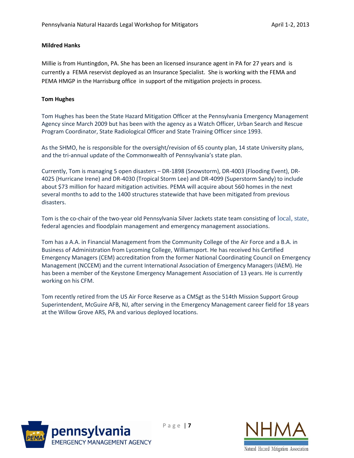#### **Mildred Hanks**

Millie is from Huntingdon, PA. She has been an licensed insurance agent in PA for 27 years and is currently a FEMA reservist deployed as an Insurance Specialist. She is working with the FEMA and PEMA HMGP in the Harrisburg office in support of the mitigation projects in process.

#### **Tom Hughes**

Tom Hughes has been the State Hazard Mitigation Officer at the Pennsylvania Emergency Management Agency since March 2009 but has been with the agency as a Watch Officer, Urban Search and Rescue Program Coordinator, State Radiological Officer and State Training Officer since 1993.

As the SHMO, he is responsible for the oversight/revision of 65 county plan, 14 state University plans, and the tri-annual update of the Commonwealth of Pennsylvania's state plan.

Currently, Tom is managing 5 open disasters – DR-1898 (Snowstorm), DR-4003 (Flooding Event), DR-4025 (Hurricane Irene) and DR-4030 (Tropical Storm Lee) and DR-4099 (Superstorm Sandy) to include about \$73 million for hazard mitigation activities. PEMA will acquire about 560 homes in the next several months to add to the 1400 structures statewide that have been mitigated from previous disasters.

Tom is the co-chair of the two-year old Pennsylvania Silver Jackets state team consisting of local, state, federal agencies and floodplain management and emergency management associations.

Tom has a A.A. in Financial Management from the Community College of the Air Force and a B.A. in Business of Administration from Lycoming College, Williamsport. He has received his Certified Emergency Managers (CEM) accreditation from the former National Coordinating Council on Emergency Management (NCCEM) and the current International Association of Emergency Managers (IAEM). He has been a member of the Keystone Emergency Management Association of 13 years. He is currently working on his CFM.

Tom recently retired from the US Air Force Reserve as a CMSgt as the 514th Mission Support Group Superintendent, McGuire AFB, NJ, after serving in the Emergency Management career field for 18 years at the Willow Grove ARS, PA and various deployed locations.



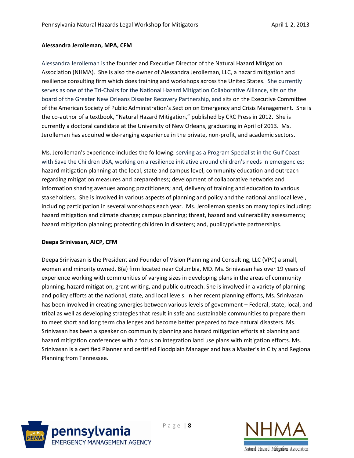#### **Alessandra Jerolleman, MPA, CFM**

Alessandra Jerolleman is the founder and Executive Director of the Natural Hazard Mitigation Association (NHMA). She is also the owner of Alessandra Jerolleman, LLC, a hazard mitigation and resilience consulting firm which does training and workshops across the United States. She currently serves as one of the Tri-Chairs for the National Hazard Mitigation Collaborative Alliance, sits on the board of the Greater New Orleans Disaster Recovery Partnership, and sits on the Executive Committee of the American Society of Public Administration's Section on Emergency and Crisis Management. She is the co-author of a textbook, "Natural Hazard Mitigation," published by CRC Press in 2012. She is currently a doctoral candidate at the University of New Orleans, graduating in April of 2013. Ms. Jerolleman has acquired wide-ranging experience in the private, non-profit, and academic sectors.

Ms. Jerolleman's experience includes the following: serving as a Program Specialist in the Gulf Coast with Save the Children USA, working on a resilience initiative around children's needs in emergencies; hazard mitigation planning at the local, state and campus level; community education and outreach regarding mitigation measures and preparedness; development of collaborative networks and information sharing avenues among practitioners; and, delivery of training and education to various stakeholders. She is involved in various aspects of planning and policy and the national and local level, including participation in several workshops each year. Ms. Jerolleman speaks on many topics including: hazard mitigation and climate change; campus planning; threat, hazard and vulnerability assessments; hazard mitigation planning; protecting children in disasters; and, public/private partnerships.

#### **Deepa Srinivasan, AICP, CFM**

Deepa Srinivasan is the President and Founder of Vision Planning and Consulting, LLC (VPC) a small, woman and minority owned, 8(a) firm located near Columbia, MD. Ms. Srinivasan has over 19 years of experience working with communities of varying sizes in developing plans in the areas of community planning, hazard mitigation, grant writing, and public outreach. She is involved in a variety of planning and policy efforts at the national, state, and local levels. In her recent planning efforts, Ms. Srinivasan has been involved in creating synergies between various levels of government – Federal, state, local, and tribal as well as developing strategies that result in safe and sustainable communities to prepare them to meet short and long term challenges and become better prepared to face natural disasters. Ms. Srinivasan has been a speaker on community planning and hazard mitigation efforts at planning and hazard mitigation conferences with a focus on integration land use plans with mitigation efforts. Ms. Srinivasan is a certified Planner and certified Floodplain Manager and has a Master's in City and Regional Planning from Tennessee.



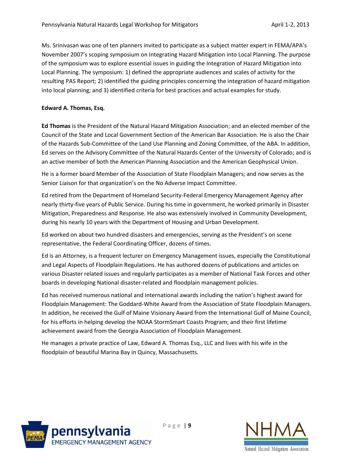Ms. Srinivasan was one of ten planners invited to participate as a subject matter expert in FEMA/APA's November 2007's scoping symposium on Integrating Hazard Mitigation into Local Planning. The purpose of the symposium was to explore essential issues in guiding the Integration of Hazard Mitigation into Local Planning. The symposium: 1) defined the appropriate audiences and scales of activity for the resulting PAS Report; 2) identified the guiding principles concerning the integration of hazard mitigation into local planning; and 3) identified criteria for best practices and actual examples for study.

#### **Edward A. Thomas, Esq.**

**Ed Thomas** is the President of the Natural Hazard Mitigation Association; and an elected member of the Council of the State and Local Government Section of the American Bar Association. He is also the Chair of the Hazards Sub-Committee of the Land Use Planning and Zoning Committee, of the ABA. In addition, Ed serves on the Advisory Committee of the Natural Hazards Center of the University of Colorado; and is an active member of both the American Planning Association and the American Geophysical Union.

He is a former board Member of the Association of State Floodplain Managers; and now serves as the Senior Liaison for that organization's on the No Adverse Impact Committee.

Ed retired from the Department of Homeland Security-Federal Emergency Management Agency after nearly thirty-five years of Public Service. During his time in government, he worked primarily in Disaster Mitigation, Preparedness and Response. He also was extensively involved in Community Development, during his nearly 10 years with the Department of Housing and Urban Development.

Ed worked on about two hundred disasters and emergencies, serving as the President's on scene representative, the Federal Coordinating Officer, dozens of times.

Ed is an Attorney, is a frequent lecturer on Emergency Management issues, especially the Constitutional and Legal Aspects of Floodplain Regulations. He has authored dozens of publications and articles on various Disaster related issues and regularly participates as a member of National Task Forces and other boards in developing National disaster-related and floodplain management policies.

Ed has received numerous national and international awards including the nation's highest award for Floodplain Management: The Goddard-White Award from the Association of State Floodplain Managers. In addition, he received the Gulf of Maine Visionary Award from the International Gulf of Maine Council, for his efforts in helping develop the NOAA StormSmart Coasts Program; and their first lifetime achievement award from the Georgia Association of Floodplain Management.

He manages a private practice of Law, Edward A. Thomas Esq., LLC and lives with his wife in the floodplain of beautiful Marina Bay in Quincy, Massachusetts.



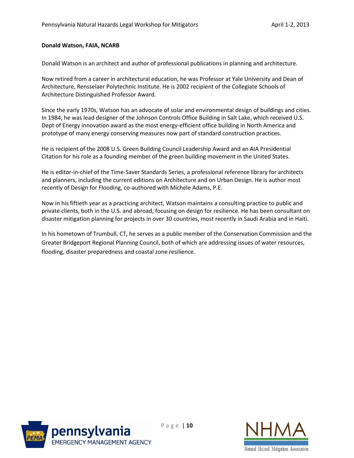#### **Donald Watson, FAIA, NCARB**

Donald Watson is an architect and author of professional publications in planning and architecture.

Now retired from a career in architectural education, he was Professor at Yale University and Dean of Architecture, Rensselaer Polytechnic Institute. He is 2002 recipient of the Collegiate Schools of Architecture Distinguished Professor Award.

Since the early 1970s, Watson has an advocate of solar and environmental design of buildings and cities. In 1984, he was lead designer of the Johnson Controls Office Building in Salt Lake, which received U.S. Dept of Energy innovation award as the most energy-efficient office building in North America and prototype of many energy conserving measures now part of standard construction practices.

He is recipient of the 2008 U.S. Green Building Council Leadership Award and an AIA Presidential Citation for his role as a founding member of the green building movement in the United States.

He is editor-in-chief of the Time-Saver Standards Series, a professional reference library for architects and planners, including the current editions on Architecture and on Urban Design. He is author most recently of Design for Flooding, co-authored with Michele Adams, P.E.

Now in his fiftieth year as a practicing architect, Watson maintains a consulting practice to public and private clients, both in the U.S. and abroad, focusing on design for resilience. He has been consultant on disaster mitigation planning for projects in over 30 countries, most recently in Saudi Arabia and in Haiti.

In his hometown of Trumbull, CT, he serves as a public member of the Conservation Commission and the Greater Bridgeport Regional Planning Council, both of which are addressing issues of water resources, flooding, disaster preparedness and coastal zone resilience.



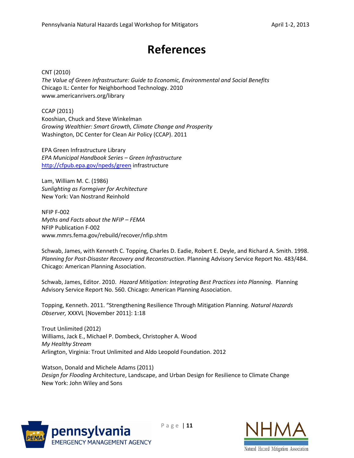### **References**

CNT (2010) *The Value of Green Infrastructure: Guide to Economic, Environmental and Social Benefits*  Chicago IL: Center for Neighborhood Technology. 2010 www.americanrivers.org/library

CCAP (2011) Kooshian, Chuck and Steve Winkelman *Growing Wealthier: Smart Growth, Climate Change and Prosperity* Washington, DC Center for Clean Air Policy (CCAP). 2011

EPA Green Infrastructure Library *EPA Municipal Handbook Series – Green Infrastructure* <http://cfpub.epa.gov/npeds/green> infrastructure

Lam, William M. C. (1986) *Sunlighting as Formgiver for Architecture*  New York: Van Nostrand Reinhold

NFIP F-002 *Myths and Facts about the NFIP – FEMA* NFIP Publication F-002 www.mmrs.fema.gov/rebuild/recover/nfip.shtm

Schwab, James, with Kenneth C. Topping, Charles D. Eadie, Robert E. Deyle, and Richard A. Smith. 1998. *Planning for Post-Disaster Recovery and Reconstruction*. Planning Advisory Service Report No. 483/484. Chicago: American Planning Association.

Schwab, James, Editor. 2010. *Hazard Mitigation: Integrating Best Practices into Planning.* Planning Advisory Service Report No. 560. Chicago: American Planning Association.

Topping, Kenneth. 2011. "Strengthening Resilience Through Mitigation Planning. *Natural Hazards Observer,* XXXVL [November 2011]: 1:18

Trout Unlimited (2012) Williams, Jack E., Michael P. Dombeck, Christopher A. Wood *My Healthy Stream*  Arlington, Virginia: Trout Unlimited and Aldo Leopold Foundation. 2012

Watson, Donald and Michele Adams (2011) *Design for Flooding* Architecture, Landscape, and Urban Design for Resilience to Climate Change New York: John Wiley and Sons



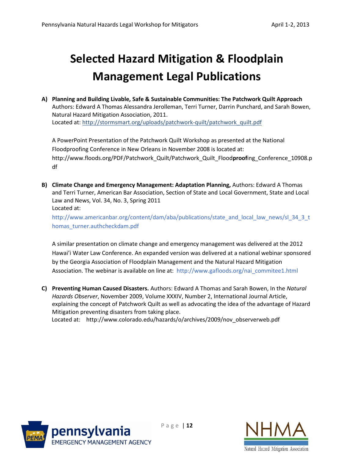# **Selected Hazard Mitigation & Floodplain Management Legal Publications**

**A) Planning and Building Livable, Safe & Sustainable Communities: The Patchwork Quilt Approach** Authors: Edward A Thomas Alessandra Jerolleman, Terri Turner, Darrin Punchard, and Sarah Bowen, Natural Hazard Mitigation Association, 2011. Located at: http://stormsmart.org/uploads/patchwork-quilt/patchwork\_quilt.pdf

A PowerPoint Presentation of the Patchwork Quilt Workshop as presented at the National Floodproofing Conference in New Orleans in November 2008 is located at: http://www.floods.org/PDF/Patchwork\_Quilt/Patchwork\_Quilt\_Flood**proof**ing\_Conference\_10908.p df

**B) Climate Change and Emergency Management: Adaptation Planning,** Authors: Edward A Thomas and Terri Turner, American Bar Association, Section of State and Local Government, State and Local Law and News, Vol. 34, No. 3, Spring 2011 Located at:

http://www.americanbar.org/content/dam/aba/publications/state\_and\_local\_law\_news/sl\_34\_3\_t homas\_turner.authcheckdam.pdf

A similar presentation on climate change and emergency management was delivered at the 2012 Hawai'i Water Law Conference. An expanded version was delivered at a national webinar sponsored by the Georgia Association of Floodplain Management and the Natural Hazard Mitigation Association. The webinar is available on line at: http://www.gafloods.org/nai\_commitee1.html

**C) Preventing Human Caused Disasters.** Authors: Edward A Thomas and Sarah Bowen, In the *Natural Hazards Observer*, November 2009, Volume XXXIV, Number 2, International Journal Article, explaining the concept of Patchwork Quilt as well as advocating the idea of the advantage of Hazard Mitigation preventing disasters from taking place. Located at: http://www.colorado.edu/hazards/o/archives/2009/nov\_observerweb.pdf

pennsylvania **EMERGENCY MANAGEMENT AGENCY** 

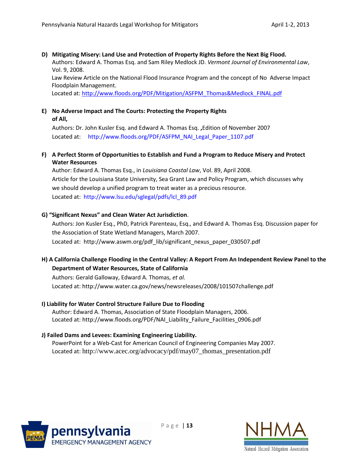**D) Mitigating Misery: Land Use and Protection of Property Rights Before the Next Big Flood.** Authors: Edward A. Thomas Esq. and Sam Riley Medlock JD. *Vermont Journal of Environmental Law*, Vol. 9, 2008.

 Law Review Article on the National Flood Insurance Program and the concept of No Adverse Impact Floodplain Management.

Located at: http://www.floods.org/PDF/Mitigation/ASFPM\_Thomas&Medlock\_FINAL.pdf

#### **E) No Adverse Impact and The Courts: Protecting the Property Rights of All,**

Authors: Dr. John Kusler Esq. and Edward A. Thomas Esq. **,**Edition of November 2007 Located at: http://www.floods.org/PDF/ASFPM\_NAI\_Legal\_Paper\_1107.pdf

#### **F) A Perfect Storm of Opportunities to Establish and Fund a Program to Reduce Misery and Protect Water Resources**

Author: Edward A. Thomas Esq., in *Louisiana Coastal Law*, Vol. 89, April 2008. Article for the Louisiana State University, Sea Grant Law and Policy Program, which discusses why we should develop a unified program to treat water as a precious resource. Located at: http://www.lsu.edu/sglegal/pdfs/lcl\_89.pdf

#### **G) "Significant Nexus" and Clean Water Act Jurisdiction**.

Authors: Jon Kusler Esq., PhD, Patrick Parenteau, Esq., and Edward A. Thomas Esq. Discussion paper for the Association of State Wetland Managers, March 2007. Located at: http://www.aswm.org/pdf\_lib/significant\_nexus\_paper\_030507.pdf

#### **H) A California Challenge Flooding in the Central Valley: A Report From An Independent Review Panel to the Department of Water Resources, State of California**

Authors: Gerald Galloway, Edward A. Thomas, *et al.* Located at: http://www.water.ca.gov/news/newsreleases/2008/101507challenge.pdf

#### **I) Liability for Water Control Structure Failure Due to Flooding**

Author: Edward A. Thomas, Association of State Floodplain Managers, 2006. Located at: http://www.floods.org/PDF/NAI\_Liability\_Failure\_Facilities\_0906.pdf

#### **J) Failed Dams and Levees: Examining Engineering Liability.**

PowerPoint for a Web-Cast for American Council of Engineering Companies May 2007. Located at: http://www.acec.org/advocacy/pdf/may07\_thomas\_presentation.pdf



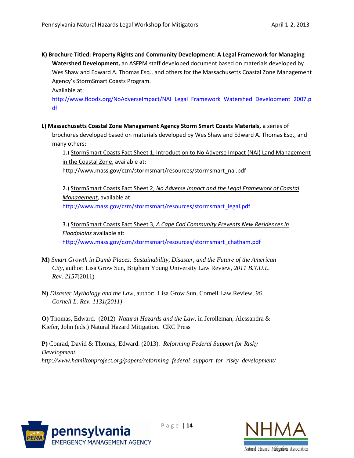**K) Brochure Titled: Property Rights and Community Development: A Legal Framework for Managing Watershed Development,** an ASFPM staff developed document based on materials developed by Wes Shaw and Edward A. Thomas Esq., and others for the Massachusetts Coastal Zone Management Agency's StormSmart Coasts Program.

Available at:

[http://www.floods.org/NoAdverseImpact/NAI\\_Legal\\_Framework\\_Watershed\\_Development\\_2007.p](http://www.floods.org/NoAdverseImpact/NAI_Legal_Framework_Watershed_Development_2007.pdf) [df](http://www.floods.org/NoAdverseImpact/NAI_Legal_Framework_Watershed_Development_2007.pdf)

**L) Massachusetts Coastal Zone Management Agency Storm Smart Coasts Materials,** a series of brochures developed based on materials developed by Wes Shaw and Edward A. Thomas Esq., and many others:

1.) [StormSmart Coasts Fact Sheet 1, Introduction to No Adverse Impact \(NAI\) Land Management](http://www.mass.gov/czm/stormsmart/resources/stormsmart_nai.pdf)  [in the Coastal Zone,](http://www.mass.gov/czm/stormsmart/resources/stormsmart_nai.pdf) available at:

http://www.mass.gov/czm/stormsmart/resources/stormsmart\_nai.pdf

2.) StormSmart Coasts Fact Sheet 2, *[No Adverse Impact and the Legal Framework of Coastal](http://www.mass.gov/czm/stormsmart/resources/stormsmart_legal.pdf)  [Management](http://www.mass.gov/czm/stormsmart/resources/stormsmart_legal.pdf)*, available at: http://www.mass.gov/czm/stormsmart/resources/stormsmart\_legal.pdf

3.) StormSmart Coasts Fact Sheet 3, *[A Cape Cod Community Prevents New Residences in](http://www.mass.gov/czm/stormsmart/resources/stormsmart_chatham.pdf)  [Floodplains](http://www.mass.gov/czm/stormsmart/resources/stormsmart_chatham.pdf)* available at: http://www.mass.gov/czm/stormsmart/resources/stormsmart\_chatham.pdf

- **M)** *Smart Growth in Dumb Places: Sustainability, Disaster, and the Future of the American City,* author: Lisa Grow Sun, Brigham Young University Law Review, *2011 B.Y.U.L. Rev. 2157*(2011)
- **N)** *Disaster Mythology and the Law,* author: Lisa Grow Sun, Cornell Law Review, *96 Cornell L. Rev. 1131(2011)*

**O)** Thomas, Edward. (2012) *Natural Hazards and the Law,* in Jerolleman, Alessandra & Kiefer, John (eds.) Natural Hazard Mitigation. CRC Press

**P)** Conrad, David & Thomas, Edward. (2013). *Reforming Federal Support for Risky Development. http://www.hamiltonproject.org/papers/reforming\_federal\_support\_for\_risky\_development/*



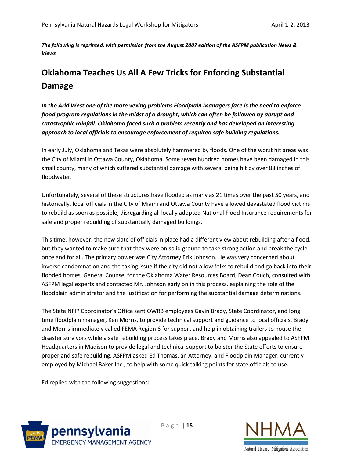*The following is reprinted, with permission from the August 2007 edition of the ASFPM publication News & Views*

### **Oklahoma Teaches Us All A Few Tricks for Enforcing Substantial Damage**

*In the Arid West one of the more vexing problems Floodplain Managers face is the need to enforce flood program regulations in the midst of a drought, which can often be followed by abrupt and catastrophic rainfall. Oklahoma faced such a problem recently and has developed an interesting approach to local officials to encourage enforcement of required safe building regulations.*

In early July, Oklahoma and Texas were absolutely hammered by floods. One of the worst hit areas was the City of Miami in Ottawa County, Oklahoma. Some seven hundred homes have been damaged in this small county, many of which suffered substantial damage with several being hit by over 88 inches of floodwater.

Unfortunately, several of these structures have flooded as many as 21 times over the past 50 years, and historically, local officials in the City of Miami and Ottawa County have allowed devastated flood victims to rebuild as soon as possible, disregarding all locally adopted National Flood Insurance requirements for safe and proper rebuilding of substantially damaged buildings.

This time, however, the new slate of officials in place had a different view about rebuilding after a flood, but they wanted to make sure that they were on solid ground to take strong action and break the cycle once and for all. The primary power was City Attorney Erik Johnson. He was very concerned about inverse condemnation and the taking issue if the city did not allow folks to rebuild and go back into their flooded homes. General Counsel for the Oklahoma Water Resources Board, Dean Couch, consulted with ASFPM legal experts and contacted Mr. Johnson early on in this process, explaining the role of the floodplain administrator and the justification for performing the substantial damage determinations.

The State NFIP Coordinator's Office sent OWRB employees Gavin Brady, State Coordinator, and long time floodplain manager, Ken Morris, to provide technical support and guidance to local officials. Brady and Morris immediately called FEMA Region 6 for support and help in obtaining trailers to house the disaster survivors while a safe rebuilding process takes place. Brady and Morris also appealed to ASFPM Headquarters in Madison to provide legal and technical support to bolster the State efforts to ensure proper and safe rebuilding. ASFPM asked Ed Thomas, an Attorney, and Floodplain Manager, currently employed by Michael Baker Inc., to help with some quick talking points for state officials to use.

Ed replied with the following suggestions: